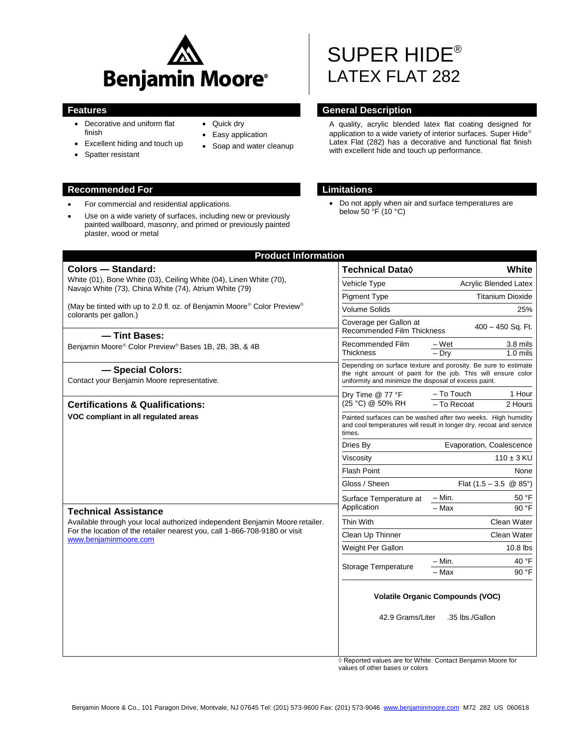

- Decorative and uniform flat finish
- Excellent hiding and touch up
- Spatter resistant

## **Recommended For Limitations**

- For commercial and residential applications.
- Use on a wide variety of surfaces, including new or previously painted wallboard, masonry, and primed or previously painted plaster, wood or metal
- Quick dry
- Easy application
- Soap and water cleanup
- SUPER HIDE® LATEX FLAT 282

# **Features General Description**

A quality, acrylic blended latex flat coating designed for application to a wide variety of interior surfaces. Super Hide® Latex Flat (282) has a decorative and functional flat finish with excellent hide and touch up performance.

 Do not apply when air and surface temperatures are below  $50 \, \text{°F}$  (10 °C)

| <b>Product Information</b>                                                                                                                                                          |                                                                                                                                                                                          |                                       |
|-------------------------------------------------------------------------------------------------------------------------------------------------------------------------------------|------------------------------------------------------------------------------------------------------------------------------------------------------------------------------------------|---------------------------------------|
| <b>Colors - Standard:</b>                                                                                                                                                           | <b>Technical Data</b> ♦                                                                                                                                                                  | White                                 |
| White (01), Bone White (03), Ceiling White (04), Linen White (70),<br>Navajo White (73), China White (74), Atrium White (79)                                                        | Vehicle Type                                                                                                                                                                             | Acrylic Blended Latex                 |
|                                                                                                                                                                                     | <b>Pigment Type</b>                                                                                                                                                                      | <b>Titanium Dioxide</b>               |
| (May be tinted with up to 2.0 fl. oz. of Benjamin Moore® Color Preview®<br>colorants per gallon.)                                                                                   | <b>Volume Solids</b>                                                                                                                                                                     | 25%                                   |
|                                                                                                                                                                                     | Coverage per Gallon at<br>400 - 450 Sq. Ft.<br><b>Recommended Film Thickness</b>                                                                                                         |                                       |
| -Tint Bases:<br>Benjamin Moore® Color Preview® Bases 1B, 2B, 3B, & 4B                                                                                                               | Recommended Film                                                                                                                                                                         | 3.8 mils<br>– Wet                     |
|                                                                                                                                                                                     | <b>Thickness</b>                                                                                                                                                                         | $-$ Dry<br>$1.0$ mils                 |
| - Special Colors:<br>Contact your Benjamin Moore representative.                                                                                                                    | Depending on surface texture and porosity. Be sure to estimate<br>the right amount of paint for the job. This will ensure color<br>uniformity and minimize the disposal of excess paint. |                                       |
|                                                                                                                                                                                     | Dry Time @ 77 °F<br>(25 °C) @ 50% RH                                                                                                                                                     | 1 Hour<br>– To Touch                  |
| <b>Certifications &amp; Qualifications:</b>                                                                                                                                         |                                                                                                                                                                                          | - To Recoat<br>2 Hours                |
| VOC compliant in all regulated areas<br><b>Technical Assistance</b>                                                                                                                 | Painted surfaces can be washed after two weeks. High humidity<br>and cool temperatures will result in longer dry, recoat and service<br>times.                                           |                                       |
|                                                                                                                                                                                     | Dries By                                                                                                                                                                                 | Evaporation, Coalescence              |
|                                                                                                                                                                                     | Viscosity                                                                                                                                                                                | $110 \pm 3$ KU                        |
|                                                                                                                                                                                     | <b>Flash Point</b>                                                                                                                                                                       | None                                  |
|                                                                                                                                                                                     | Gloss / Sheen                                                                                                                                                                            | Flat $(1.5 - 3.5 \circ 8.85^{\circ})$ |
|                                                                                                                                                                                     | Surface Temperature at<br>Application                                                                                                                                                    | – Min.<br>50 °F                       |
|                                                                                                                                                                                     |                                                                                                                                                                                          | $-Max$<br>90 °F                       |
| Available through your local authorized independent Benjamin Moore retailer.<br>For the location of the retailer nearest you, call 1-866-708-9180 or visit<br>www.beniaminmoore.com | Thin With                                                                                                                                                                                | Clean Water                           |
|                                                                                                                                                                                     | Clean Up Thinner                                                                                                                                                                         | Clean Water                           |
|                                                                                                                                                                                     | Weight Per Gallon                                                                                                                                                                        | $10.8$ lbs                            |
|                                                                                                                                                                                     | <b>Storage Temperature</b>                                                                                                                                                               | 40 °F<br>$-$ Min.                     |
|                                                                                                                                                                                     |                                                                                                                                                                                          | - Max<br>90 °F                        |
|                                                                                                                                                                                     | <b>Volatile Organic Compounds (VOC)</b><br>42.9 Grams/Liter<br>.35 lbs./Gallon                                                                                                           |                                       |
|                                                                                                                                                                                     |                                                                                                                                                                                          |                                       |

◊ Reported values are for White. Contact Benjamin Moore for values of other bases or colors